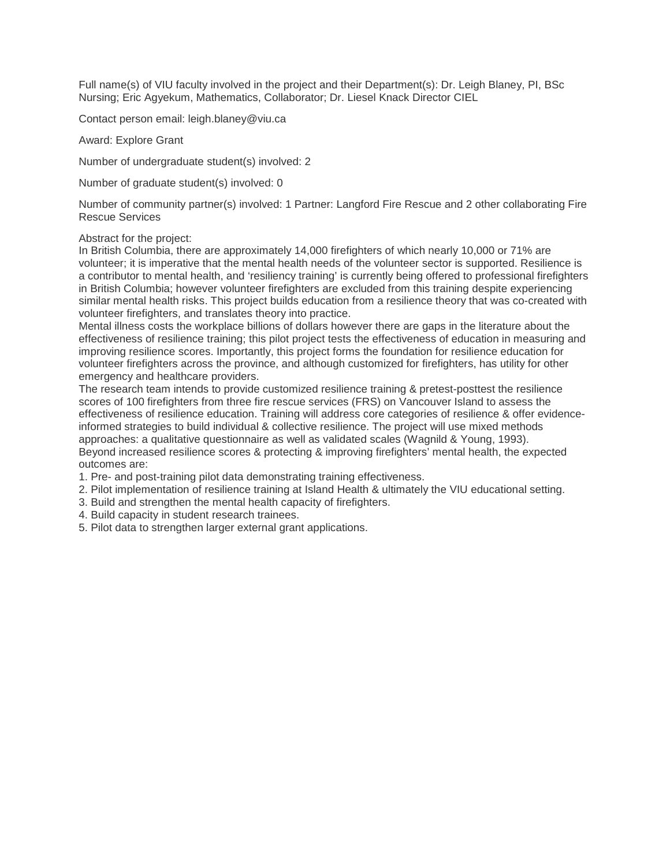Full name(s) of VIU faculty involved in the project and their Department(s): Dr. Leigh Blaney, PI, BSc Nursing; Eric Agyekum, Mathematics, Collaborator; Dr. Liesel Knack Director CIEL

Contact person email: leigh.blaney@viu.ca

Award: Explore Grant

Number of undergraduate student(s) involved: 2

Number of graduate student(s) involved: 0

Number of community partner(s) involved: 1 Partner: Langford Fire Rescue and 2 other collaborating Fire Rescue Services

#### Abstract for the project:

In British Columbia, there are approximately 14,000 firefighters of which nearly 10,000 or 71% are volunteer; it is imperative that the mental health needs of the volunteer sector is supported. Resilience is a contributor to mental health, and 'resiliency training' is currently being offered to professional firefighters in British Columbia; however volunteer firefighters are excluded from this training despite experiencing similar mental health risks. This project builds education from a resilience theory that was co-created with volunteer firefighters, and translates theory into practice.

Mental illness costs the workplace billions of dollars however there are gaps in the literature about the effectiveness of resilience training; this pilot project tests the effectiveness of education in measuring and improving resilience scores. Importantly, this project forms the foundation for resilience education for volunteer firefighters across the province, and although customized for firefighters, has utility for other emergency and healthcare providers.

The research team intends to provide customized resilience training & pretest-posttest the resilience scores of 100 firefighters from three fire rescue services (FRS) on Vancouver Island to assess the effectiveness of resilience education. Training will address core categories of resilience & offer evidenceinformed strategies to build individual & collective resilience. The project will use mixed methods approaches: a qualitative questionnaire as well as validated scales (Wagnild & Young, 1993). Beyond increased resilience scores & protecting & improving firefighters' mental health, the expected outcomes are:

1. Pre- and post-training pilot data demonstrating training effectiveness.

2. Pilot implementation of resilience training at Island Health & ultimately the VIU educational setting.

- 3. Build and strengthen the mental health capacity of firefighters.
- 4. Build capacity in student research trainees.
- 5. Pilot data to strengthen larger external grant applications.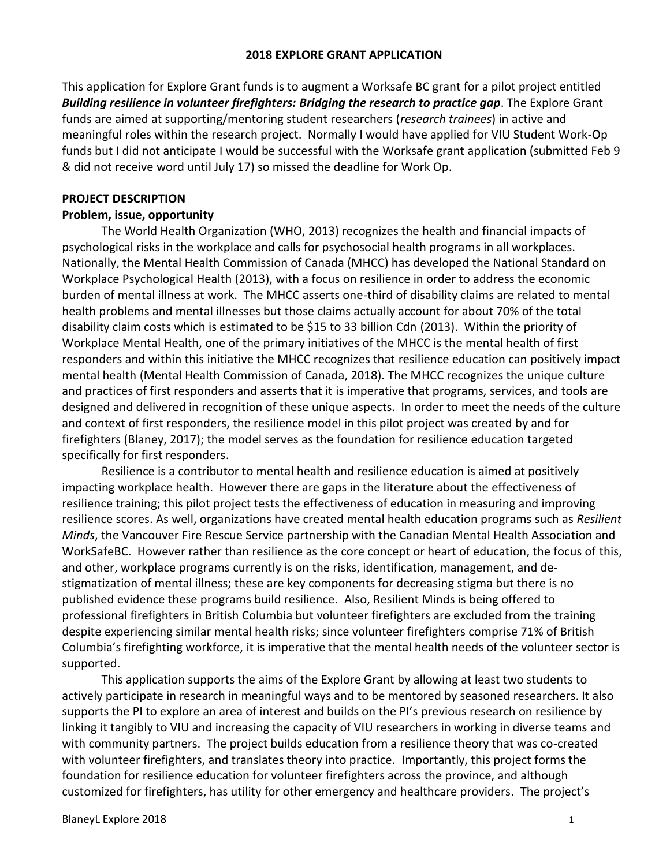#### **2018 EXPLORE GRANT APPLICATION**

This application for Explore Grant funds is to augment a Worksafe BC grant for a pilot project entitled *Building resilience in volunteer firefighters: Bridging the research to practice gap*. The Explore Grant funds are aimed at supporting/mentoring student researchers (*research trainees*) in active and meaningful roles within the research project. Normally I would have applied for VIU Student Work-Op funds but I did not anticipate I would be successful with the Worksafe grant application (submitted Feb 9 & did not receive word until July 17) so missed the deadline for Work Op.

#### **PROJECT DESCRIPTION**

#### **Problem, issue, opportunity**

The World Health Organization (WHO, 2013) recognizes the health and financial impacts of psychological risks in the workplace and calls for psychosocial health programs in all workplaces. Nationally, the Mental Health Commission of Canada (MHCC) has developed the National Standard on Workplace Psychological Health (2013), with a focus on resilience in order to address the economic burden of mental illness at work. The MHCC asserts one-third of disability claims are related to mental health problems and mental illnesses but those claims actually account for about 70% of the total disability claim costs which is estimated to be \$15 to 33 billion Cdn (2013). Within the priority of Workplace Mental Health, one of the primary initiatives of the MHCC is the mental health of first responders and within this initiative the MHCC recognizes that resilience education can positively impact mental health (Mental Health Commission of Canada, 2018). The MHCC recognizes the unique culture and practices of first responders and asserts that it is imperative that programs, services, and tools are designed and delivered in recognition of these unique aspects. In order to meet the needs of the culture and context of first responders, the resilience model in this pilot project was created by and for firefighters (Blaney, 2017); the model serves as the foundation for resilience education targeted specifically for first responders.

Resilience is a contributor to mental health and resilience education is aimed at positively impacting workplace health. However there are gaps in the literature about the effectiveness of resilience training; this pilot project tests the effectiveness of education in measuring and improving resilience scores. As well, organizations have created mental health education programs such as *Resilient Minds*, the Vancouver Fire Rescue Service partnership with the Canadian Mental Health Association and WorkSafeBC. However rather than resilience as the core concept or heart of education, the focus of this, and other, workplace programs currently is on the risks, identification, management, and destigmatization of mental illness; these are key components for decreasing stigma but there is no published evidence these programs build resilience. Also, Resilient Minds is being offered to professional firefighters in British Columbia but volunteer firefighters are excluded from the training despite experiencing similar mental health risks; since volunteer firefighters comprise 71% of British Columbia's firefighting workforce, it is imperative that the mental health needs of the volunteer sector is supported.

This application supports the aims of the Explore Grant by allowing at least two students to actively participate in research in meaningful ways and to be mentored by seasoned researchers. It also supports the PI to explore an area of interest and builds on the PI's previous research on resilience by linking it tangibly to VIU and increasing the capacity of VIU researchers in working in diverse teams and with community partners. The project builds education from a resilience theory that was co-created with volunteer firefighters, and translates theory into practice. Importantly, this project forms the foundation for resilience education for volunteer firefighters across the province, and although customized for firefighters, has utility for other emergency and healthcare providers. The project's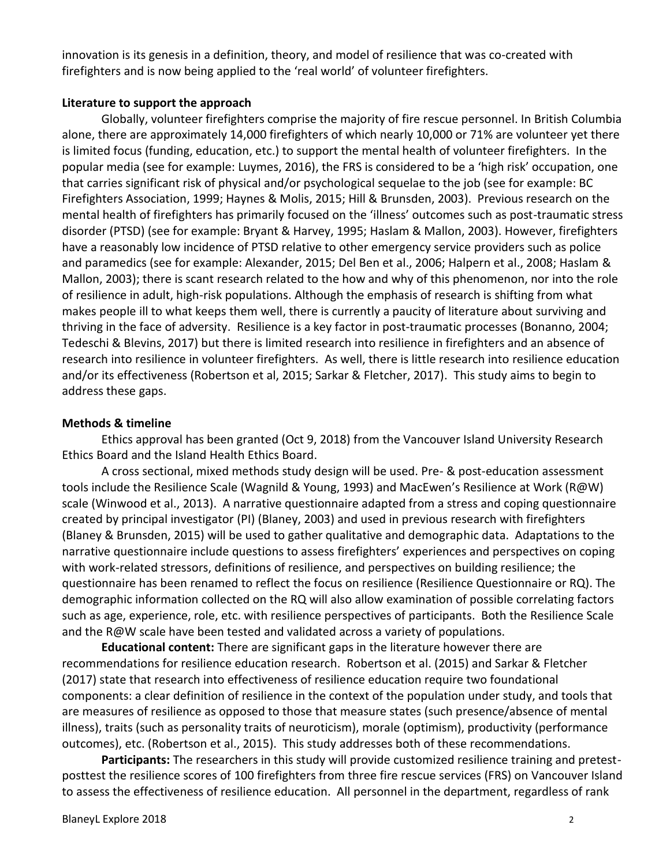innovation is its genesis in a definition, theory, and model of resilience that was co-created with firefighters and is now being applied to the 'real world' of volunteer firefighters.

#### **Literature to support the approach**

Globally, volunteer firefighters comprise the majority of fire rescue personnel. In British Columbia alone, there are approximately 14,000 firefighters of which nearly 10,000 or 71% are volunteer yet there is limited focus (funding, education, etc.) to support the mental health of volunteer firefighters. In the popular media (see for example: Luymes, 2016), the FRS is considered to be a 'high risk' occupation, one that carries significant risk of physical and/or psychological sequelae to the job (see for example: BC Firefighters Association, 1999; Haynes & Molis, 2015; Hill & Brunsden, 2003). Previous research on the mental health of firefighters has primarily focused on the 'illness' outcomes such as post-traumatic stress disorder (PTSD) (see for example: Bryant & Harvey, 1995; Haslam & Mallon, 2003). However, firefighters have a reasonably low incidence of PTSD relative to other emergency service providers such as police and paramedics (see for example: Alexander, 2015; Del Ben et al., 2006; Halpern et al., 2008; Haslam & Mallon, 2003); there is scant research related to the how and why of this phenomenon, nor into the role of resilience in adult, high-risk populations. Although the emphasis of research is shifting from what makes people ill to what keeps them well, there is currently a paucity of literature about surviving and thriving in the face of adversity. Resilience is a key factor in post-traumatic processes (Bonanno, 2004; Tedeschi & Blevins, 2017) but there is limited research into resilience in firefighters and an absence of research into resilience in volunteer firefighters. As well, there is little research into resilience education and/or its effectiveness (Robertson et al, 2015; Sarkar & Fletcher, 2017). This study aims to begin to address these gaps.

#### **Methods & timeline**

Ethics approval has been granted (Oct 9, 2018) from the Vancouver Island University Research Ethics Board and the Island Health Ethics Board.

A cross sectional, mixed methods study design will be used. Pre- & post-education assessment tools include the Resilience Scale (Wagnild & Young, 1993) and MacEwen's Resilience at Work (R@W) scale (Winwood et al., 2013). A narrative questionnaire adapted from a stress and coping questionnaire created by principal investigator (PI) (Blaney, 2003) and used in previous research with firefighters (Blaney & Brunsden, 2015) will be used to gather qualitative and demographic data. Adaptations to the narrative questionnaire include questions to assess firefighters' experiences and perspectives on coping with work-related stressors, definitions of resilience, and perspectives on building resilience; the questionnaire has been renamed to reflect the focus on resilience (Resilience Questionnaire or RQ). The demographic information collected on the RQ will also allow examination of possible correlating factors such as age, experience, role, etc. with resilience perspectives of participants. Both the Resilience Scale and the R@W scale have been tested and validated across a variety of populations.

**Educational content:** There are significant gaps in the literature however there are recommendations for resilience education research. Robertson et al. (2015) and Sarkar & Fletcher (2017) state that research into effectiveness of resilience education require two foundational components: a clear definition of resilience in the context of the population under study, and tools that are measures of resilience as opposed to those that measure states (such presence/absence of mental illness), traits (such as personality traits of neuroticism), morale (optimism), productivity (performance outcomes), etc. (Robertson et al., 2015). This study addresses both of these recommendations.

**Participants:** The researchers in this study will provide customized resilience training and pretestposttest the resilience scores of 100 firefighters from three fire rescue services (FRS) on Vancouver Island to assess the effectiveness of resilience education. All personnel in the department, regardless of rank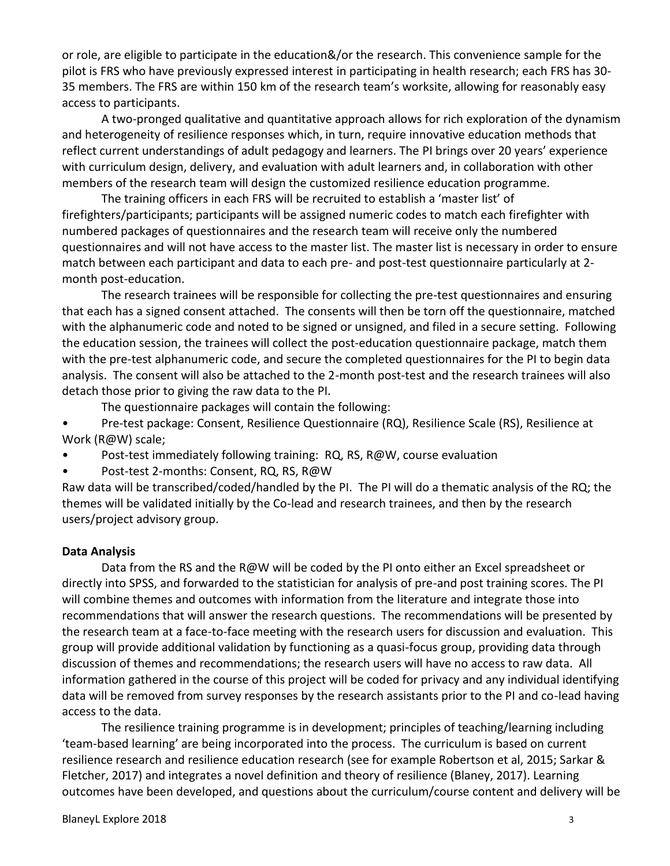or role, are eligible to participate in the education&/or the research. This convenience sample for the pilot is FRS who have previously expressed interest in participating in health research; each FRS has 30- 35 members. The FRS are within 150 km of the research team's worksite, allowing for reasonably easy access to participants.

A two-pronged qualitative and quantitative approach allows for rich exploration of the dynamism and heterogeneity of resilience responses which, in turn, require innovative education methods that reflect current understandings of adult pedagogy and learners. The PI brings over 20 years' experience with curriculum design, delivery, and evaluation with adult learners and, in collaboration with other members of the research team will design the customized resilience education programme.

The training officers in each FRS will be recruited to establish a 'master list' of firefighters/participants; participants will be assigned numeric codes to match each firefighter with numbered packages of questionnaires and the research team will receive only the numbered questionnaires and will not have access to the master list. The master list is necessary in order to ensure match between each participant and data to each pre- and post-test questionnaire particularly at 2 month post-education.

The research trainees will be responsible for collecting the pre-test questionnaires and ensuring that each has a signed consent attached. The consents will then be torn off the questionnaire, matched with the alphanumeric code and noted to be signed or unsigned, and filed in a secure setting. Following the education session, the trainees will collect the post-education questionnaire package, match them with the pre-test alphanumeric code, and secure the completed questionnaires for the PI to begin data analysis. The consent will also be attached to the 2-month post-test and the research trainees will also detach those prior to giving the raw data to the PI.

The questionnaire packages will contain the following:

• Pre-test package: Consent, Resilience Questionnaire (RQ), Resilience Scale (RS), Resilience at Work (R@W) scale;

- Post-test immediately following training: RQ, RS, R@W, course evaluation
- Post-test 2-months: Consent, RQ, RS, R@W

Raw data will be transcribed/coded/handled by the PI. The PI will do a thematic analysis of the RQ; the themes will be validated initially by the Co-lead and research trainees, and then by the research users/project advisory group.

#### **Data Analysis**

Data from the RS and the R@W will be coded by the PI onto either an Excel spreadsheet or directly into SPSS, and forwarded to the statistician for analysis of pre-and post training scores. The PI will combine themes and outcomes with information from the literature and integrate those into recommendations that will answer the research questions. The recommendations will be presented by the research team at a face-to-face meeting with the research users for discussion and evaluation. This group will provide additional validation by functioning as a quasi-focus group, providing data through discussion of themes and recommendations; the research users will have no access to raw data. All information gathered in the course of this project will be coded for privacy and any individual identifying data will be removed from survey responses by the research assistants prior to the PI and co-lead having access to the data.

The resilience training programme is in development; principles of teaching/learning including 'team-based learning' are being incorporated into the process. The curriculum is based on current resilience research and resilience education research (see for example Robertson et al, 2015; Sarkar & Fletcher, 2017) and integrates a novel definition and theory of resilience (Blaney, 2017). Learning outcomes have been developed, and questions about the curriculum/course content and delivery will be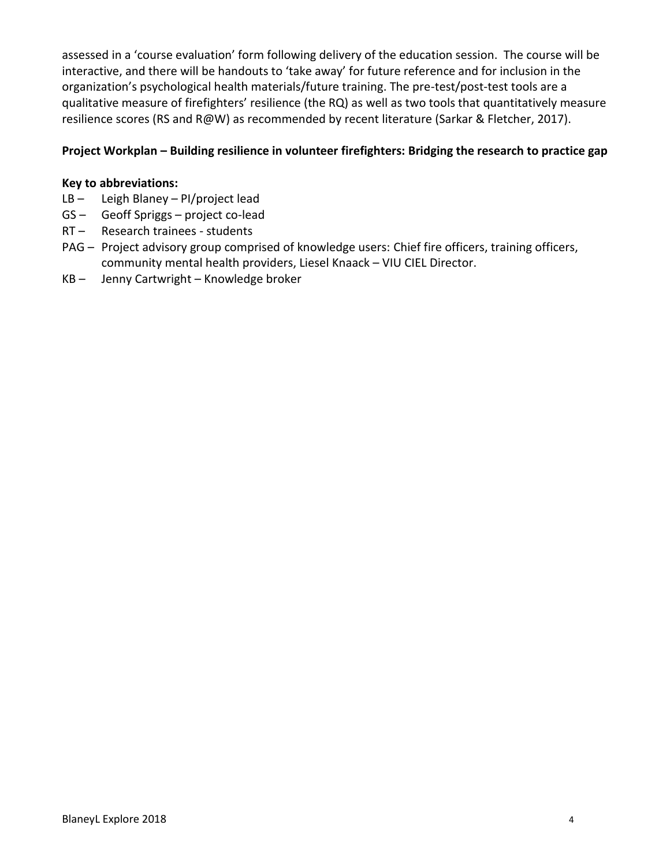assessed in a 'course evaluation' form following delivery of the education session. The course will be interactive, and there will be handouts to 'take away' for future reference and for inclusion in the organization's psychological health materials/future training. The pre-test/post-test tools are a qualitative measure of firefighters' resilience (the RQ) as well as two tools that quantitatively measure resilience scores (RS and R@W) as recommended by recent literature (Sarkar & Fletcher, 2017).

## **Project Workplan – Building resilience in volunteer firefighters: Bridging the research to practice gap**

## **Key to abbreviations:**

- LB Leigh Blaney PI/project lead
- GS Geoff Spriggs project co-lead
- RT Research trainees students
- PAG Project advisory group comprised of knowledge users: Chief fire officers, training officers, community mental health providers, Liesel Knaack – VIU CIEL Director.
- KB Jenny Cartwright Knowledge broker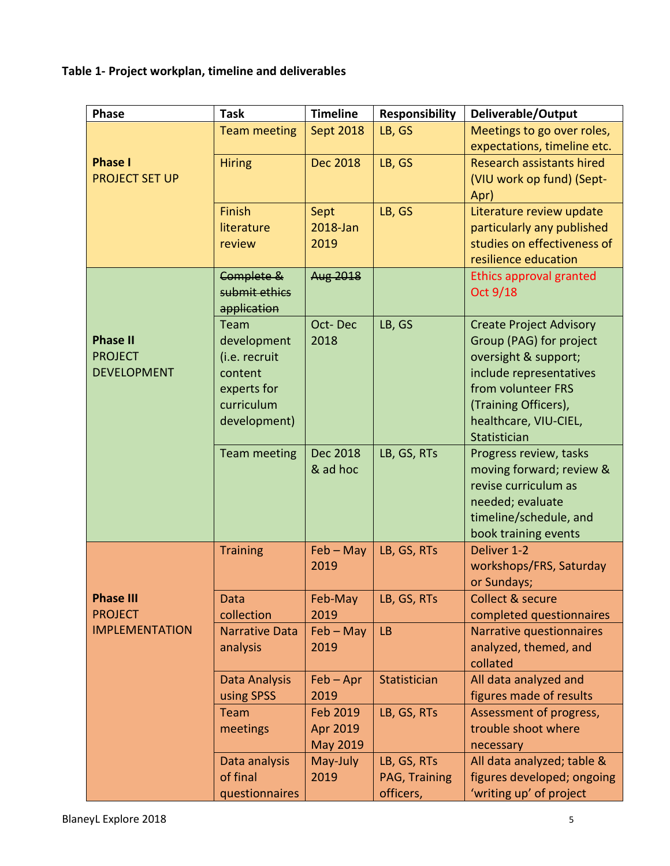**Table 1- Project workplan, timeline and deliverables**

| <b>Phase</b>                                            | <b>Task</b>                                                                                  | <b>Timeline</b>                  | <b>Responsibility</b>                     | Deliverable/Output                                                                                                                                                                                  |
|---------------------------------------------------------|----------------------------------------------------------------------------------------------|----------------------------------|-------------------------------------------|-----------------------------------------------------------------------------------------------------------------------------------------------------------------------------------------------------|
|                                                         | <b>Team meeting</b>                                                                          | <b>Sept 2018</b>                 | LB, GS                                    | Meetings to go over roles,<br>expectations, timeline etc.                                                                                                                                           |
| <b>Phase I</b><br><b>PROJECT SET UP</b>                 | <b>Hiring</b>                                                                                | <b>Dec 2018</b>                  | LB, GS                                    | <b>Research assistants hired</b><br>(VIU work op fund) (Sept-<br>Apr)                                                                                                                               |
|                                                         | Finish<br>literature<br>review                                                               | Sept<br>2018-Jan<br>2019         | LB, GS                                    | Literature review update<br>particularly any published<br>studies on effectiveness of<br>resilience education                                                                                       |
| <b>Phase II</b><br><b>PROJECT</b><br><b>DEVELOPMENT</b> | Complete &<br>submit ethics<br>application                                                   | Aug 2018                         |                                           | Ethics approval granted<br>Oct 9/18                                                                                                                                                                 |
|                                                         | Team<br>development<br>(i.e. recruit<br>content<br>experts for<br>curriculum<br>development) | Oct-Dec<br>2018                  | LB, GS                                    | <b>Create Project Advisory</b><br>Group (PAG) for project<br>oversight & support;<br>include representatives<br>from volunteer FRS<br>(Training Officers),<br>healthcare, VIU-CIEL,<br>Statistician |
|                                                         | <b>Team meeting</b>                                                                          | Dec 2018<br>& ad hoc             | LB, GS, RTs                               | Progress review, tasks<br>moving forward; review &<br>revise curriculum as<br>needed; evaluate<br>timeline/schedule, and<br>book training events                                                    |
|                                                         | <b>Training</b>                                                                              | $Feb - May$<br>2019              | LB, GS, RTs                               | Deliver 1-2<br>workshops/FRS, Saturday<br>or Sundays;                                                                                                                                               |
| <b>Phase III</b><br><b>PROJECT</b>                      | Data<br>collection                                                                           | Feb-May<br>2019                  | LB, GS, RTs                               | Collect & secure<br>completed questionnaires                                                                                                                                                        |
| <b>IMPLEMENTATION</b>                                   | <b>Narrative Data</b><br>analysis                                                            | $Feb - May$<br>2019              | <b>LB</b>                                 | Narrative questionnaires<br>analyzed, themed, and<br>collated                                                                                                                                       |
|                                                         | Data Analysis<br>using SPSS                                                                  | $Feb - Apr$<br>2019              | Statistician                              | All data analyzed and<br>figures made of results                                                                                                                                                    |
|                                                         | Team<br>meetings                                                                             | Feb 2019<br>Apr 2019<br>May 2019 | LB, GS, RTs                               | Assessment of progress,<br>trouble shoot where<br>necessary                                                                                                                                         |
|                                                         | Data analysis<br>of final<br>questionnaires                                                  | May-July<br>2019                 | LB, GS, RTs<br>PAG, Training<br>officers, | All data analyzed; table &<br>figures developed; ongoing<br>'writing up' of project                                                                                                                 |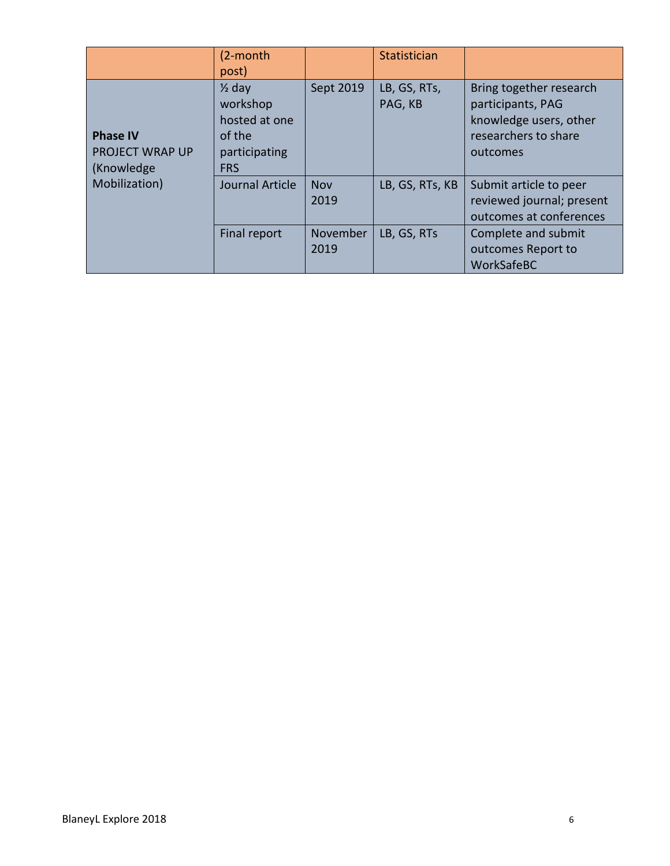|                                                                          | (2-month<br>post)                                                                       |                    | Statistician            |                                                                                                            |
|--------------------------------------------------------------------------|-----------------------------------------------------------------------------------------|--------------------|-------------------------|------------------------------------------------------------------------------------------------------------|
| <b>Phase IV</b><br><b>PROJECT WRAP UP</b><br>(Knowledge<br>Mobilization) | $\frac{1}{2}$ day<br>workshop<br>hosted at one<br>of the<br>participating<br><b>FRS</b> | Sept 2019          | LB, GS, RTs,<br>PAG, KB | Bring together research<br>participants, PAG<br>knowledge users, other<br>researchers to share<br>outcomes |
|                                                                          | Journal Article                                                                         | <b>Nov</b><br>2019 | LB, GS, RTs, KB         | Submit article to peer<br>reviewed journal; present<br>outcomes at conferences                             |
|                                                                          | Final report                                                                            | November<br>2019   | LB, GS, RTs             | Complete and submit<br>outcomes Report to<br>WorkSafeBC                                                    |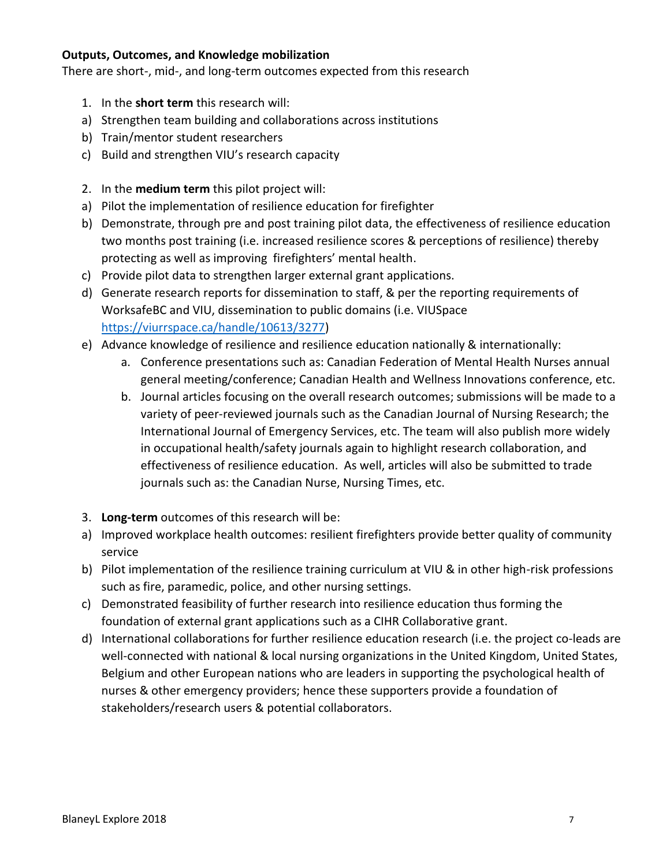#### **Outputs, Outcomes, and Knowledge mobilization**

There are short-, mid-, and long-term outcomes expected from this research

- 1. In the **short term** this research will:
- a) Strengthen team building and collaborations across institutions
- b) Train/mentor student researchers
- c) Build and strengthen VIU's research capacity
- 2. In the **medium term** this pilot project will:
- a) Pilot the implementation of resilience education for firefighter
- b) Demonstrate, through pre and post training pilot data, the effectiveness of resilience education two months post training (i.e. increased resilience scores & perceptions of resilience) thereby protecting as well as improving firefighters' mental health.
- c) Provide pilot data to strengthen larger external grant applications.
- d) Generate research reports for dissemination to staff, & per the reporting requirements of WorksafeBC and VIU, dissemination to public domains (i.e. VIUSpace [https://viurrspace.ca/handle/10613/3277\)](https://viurrspace.ca/handle/10613/3277)
- e) Advance knowledge of resilience and resilience education nationally & internationally:
	- a. Conference presentations such as: Canadian Federation of Mental Health Nurses annual general meeting/conference; Canadian Health and Wellness Innovations conference, etc.
	- b. Journal articles focusing on the overall research outcomes; submissions will be made to a variety of peer-reviewed journals such as the Canadian Journal of Nursing Research; the International Journal of Emergency Services, etc. The team will also publish more widely in occupational health/safety journals again to highlight research collaboration, and effectiveness of resilience education. As well, articles will also be submitted to trade journals such as: the Canadian Nurse, Nursing Times, etc.
- 3. **Long-term** outcomes of this research will be:
- a) Improved workplace health outcomes: resilient firefighters provide better quality of community service
- b) Pilot implementation of the resilience training curriculum at VIU & in other high-risk professions such as fire, paramedic, police, and other nursing settings.
- c) Demonstrated feasibility of further research into resilience education thus forming the foundation of external grant applications such as a CIHR Collaborative grant.
- d) International collaborations for further resilience education research (i.e. the project co-leads are well-connected with national & local nursing organizations in the United Kingdom, United States, Belgium and other European nations who are leaders in supporting the psychological health of nurses & other emergency providers; hence these supporters provide a foundation of stakeholders/research users & potential collaborators.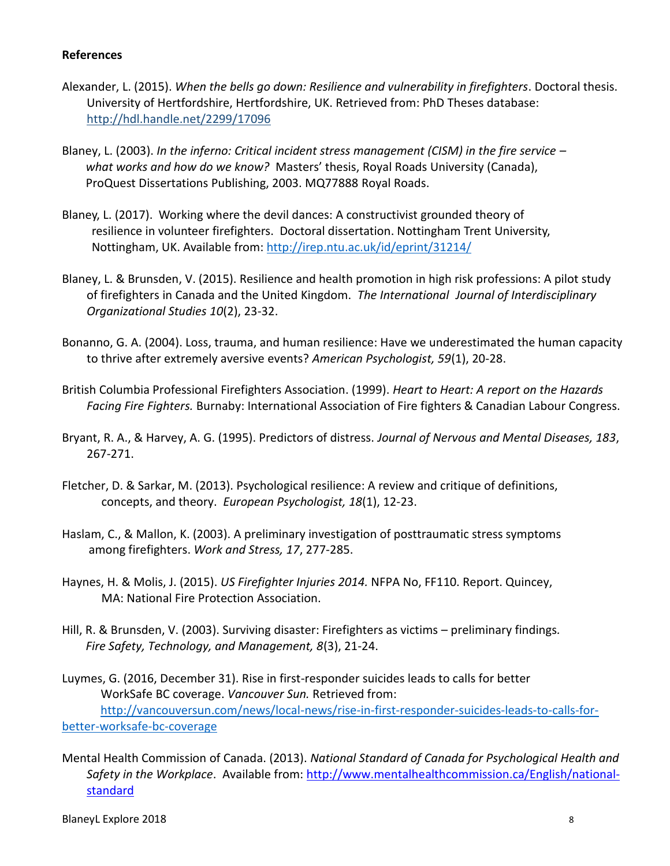#### **References**

- Alexander, L. (2015). *When the bells go down: Resilience and vulnerability in firefighters*. Doctoral thesis. University of Hertfordshire, Hertfordshire, UK. Retrieved from: PhD Theses database: <http://hdl.handle.net/2299/17096>
- Blaney, L. (2003). *In the inferno: Critical incident stress management (CISM) in the fire service – what works and how do we know?* Masters' thesis, Royal Roads University (Canada), ProQuest Dissertations Publishing, 2003. MQ77888 Royal Roads.
- Blaney, L. (2017). Working where the devil dances: A constructivist grounded theory of resilience in volunteer firefighters. Doctoral dissertation. Nottingham Trent University, Nottingham, UK. Available from:<http://irep.ntu.ac.uk/id/eprint/31214/>
- Blaney, L. & Brunsden, V. (2015). Resilience and health promotion in high risk professions: A pilot study of firefighters in Canada and the United Kingdom. *The International Journal of Interdisciplinary Organizational Studies 10*(2), 23-32.
- Bonanno, G. A. (2004). Loss, trauma, and human resilience: Have we underestimated the human capacity to thrive after extremely aversive events? *American Psychologist, 59*(1), 20-28.
- British Columbia Professional Firefighters Association. (1999). *Heart to Heart: A report on the Hazards Facing Fire Fighters.* Burnaby: International Association of Fire fighters & Canadian Labour Congress.
- Bryant, R. A., & Harvey, A. G. (1995). Predictors of distress. *Journal of Nervous and Mental Diseases, 183*, 267-271.
- Fletcher, D. & Sarkar, M. (2013). Psychological resilience: A review and critique of definitions, concepts, and theory. *European Psychologist, 18*(1), 12-23.
- Haslam, C., & Mallon, K. (2003). A preliminary investigation of posttraumatic stress symptoms among firefighters. *Work and Stress, 17*, 277-285.
- Haynes, H. & Molis, J. (2015). *US Firefighter Injuries 2014.* NFPA No, FF110. Report. Quincey, MA: National Fire Protection Association.
- Hill, R. & Brunsden, V. (2003). Surviving disaster: Firefighters as victims preliminary findings*. Fire Safety, Technology, and Management, 8*(3), 21-24.

Luymes, G. (2016, December 31). Rise in first-responder suicides leads to calls for better WorkSafe BC coverage. *Vancouver Sun.* Retrieved from: [http://vancouversun.com/news/local-news/rise-in-first-responder-suicides-leads-to-calls-for](http://vancouversun.com/news/local-news/rise-in-first-responder-suicides-leads-to-calls-for-better-worksafe-bc-coverage)[better-worksafe-bc-coverage](http://vancouversun.com/news/local-news/rise-in-first-responder-suicides-leads-to-calls-for-better-worksafe-bc-coverage)

Mental Health Commission of Canada. (2013). *National Standard of Canada for Psychological Health and Safety in the Workplace*. Available from: [http://www.mentalhealthcommission.ca/English/national](http://www.mentalhealthcommission.ca/English/national-standard)[standard](http://www.mentalhealthcommission.ca/English/national-standard)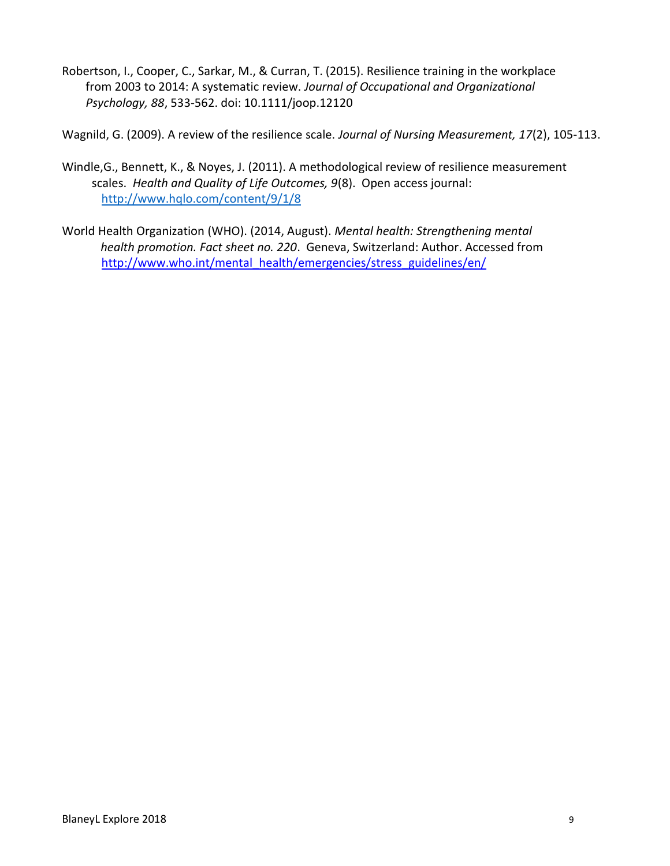Robertson, I., Cooper, C., Sarkar, M., & Curran, T. (2015). Resilience training in the workplace from 2003 to 2014: A systematic review. *Journal of Occupational and Organizational Psychology, 88*, 533-562. doi: 10.1111/joop.12120

Wagnild, G. (2009). A review of the resilience scale. *Journal of Nursing Measurement, 17*(2), 105-113.

- Windle,G., Bennett, K., & Noyes, J. (2011). A methodological review of resilience measurement scales. *Health and Quality of Life Outcomes, 9*(8). Open access journal: <http://www.hqlo.com/content/9/1/8>
- World Health Organization (WHO). (2014, August). *Mental health: Strengthening mental health promotion. Fact sheet no. 220*. Geneva, Switzerland: Author. Accessed from [http://www.who.int/mental\\_health/emergencies/stress\\_guidelines/en/](http://www.who.int/mental_health/emergencies/stress_guidelines/en/)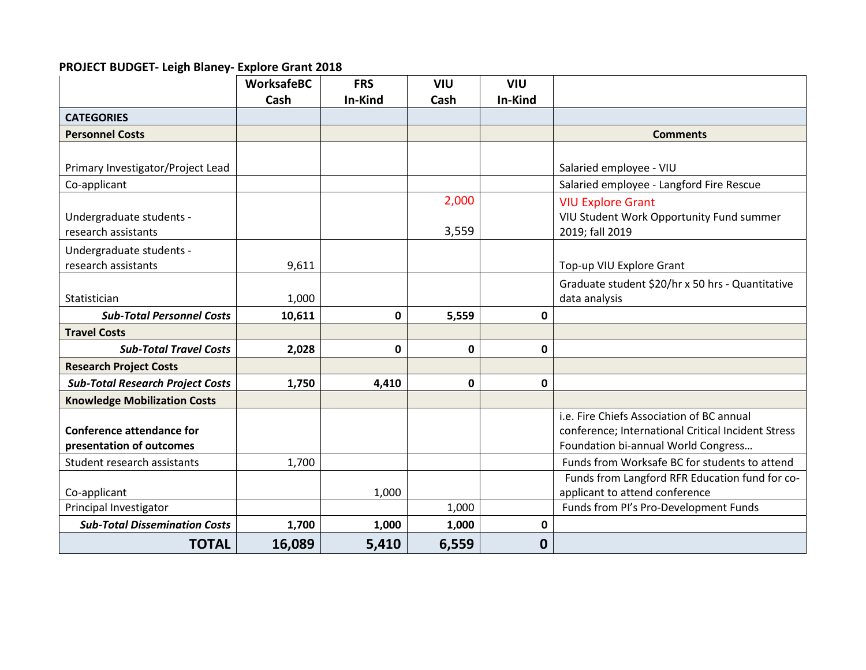## **PROJECT BUDGET- Leigh Blaney- Explore Grant 2018**

|                                         | <b>WorksafeBC</b> | <b>FRS</b>  | <b>VIU</b> | <b>VIU</b>       |                                                    |
|-----------------------------------------|-------------------|-------------|------------|------------------|----------------------------------------------------|
|                                         | Cash              | In-Kind     | Cash       | In-Kind          |                                                    |
| <b>CATEGORIES</b>                       |                   |             |            |                  |                                                    |
| <b>Personnel Costs</b>                  |                   |             |            |                  | <b>Comments</b>                                    |
|                                         |                   |             |            |                  |                                                    |
| Primary Investigator/Project Lead       |                   |             |            |                  | Salaried employee - VIU                            |
| Co-applicant                            |                   |             |            |                  | Salaried employee - Langford Fire Rescue           |
|                                         |                   |             | 2,000      |                  | <b>VIU Explore Grant</b>                           |
| Undergraduate students -                |                   |             |            |                  | VIU Student Work Opportunity Fund summer           |
| research assistants                     |                   |             | 3,559      |                  | 2019; fall 2019                                    |
| Undergraduate students -                |                   |             |            |                  |                                                    |
| research assistants                     | 9,611             |             |            |                  | Top-up VIU Explore Grant                           |
|                                         |                   |             |            |                  | Graduate student \$20/hr x 50 hrs - Quantitative   |
| Statistician                            | 1,000             |             |            |                  | data analysis                                      |
| <b>Sub-Total Personnel Costs</b>        | 10,611            | 0           | 5,559      | 0                |                                                    |
| <b>Travel Costs</b>                     |                   |             |            |                  |                                                    |
| <b>Sub-Total Travel Costs</b>           |                   | $\mathbf 0$ | 0          |                  |                                                    |
|                                         | 2,028             |             |            | $\mathbf 0$      |                                                    |
| <b>Research Project Costs</b>           |                   |             |            |                  |                                                    |
| <b>Sub-Total Research Project Costs</b> | 1,750             | 4,410       | 0          | $\mathbf 0$      |                                                    |
| <b>Knowledge Mobilization Costs</b>     |                   |             |            |                  |                                                    |
|                                         |                   |             |            |                  | i.e. Fire Chiefs Association of BC annual          |
| <b>Conference attendance for</b>        |                   |             |            |                  | conference; International Critical Incident Stress |
| presentation of outcomes                |                   |             |            |                  | Foundation bi-annual World Congress                |
| Student research assistants             | 1,700             |             |            |                  | Funds from Worksafe BC for students to attend      |
|                                         |                   |             |            |                  | Funds from Langford RFR Education fund for co-     |
| Co-applicant                            |                   | 1,000       |            |                  | applicant to attend conference                     |
| Principal Investigator                  |                   |             | 1,000      |                  | Funds from PI's Pro-Development Funds              |
| <b>Sub-Total Dissemination Costs</b>    | 1,700             | 1,000       | 1,000      | 0                |                                                    |
| <b>TOTAL</b>                            | 16,089            | 5,410       | 6,559      | $\boldsymbol{0}$ |                                                    |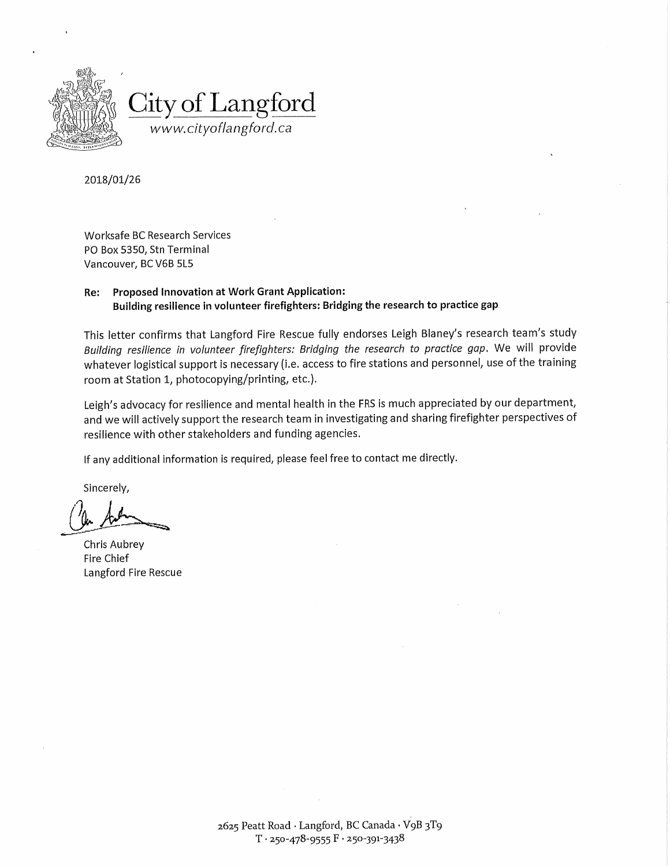

2018/01/26

**Worksafe BC Research Services** PO Box 5350, Stn Terminal Vancouver, BC V6B 5L5

#### **Proposed Innovation at Work Grant Application:** Re: Building resilience in volunteer firefighters: Bridging the research to practice gap

This letter confirms that Langford Fire Rescue fully endorses Leigh Blaney's research team's study Building resilience in volunteer firefighters: Bridging the research to practice gap. We will provide whatever logistical support is necessary (i.e. access to fire stations and personnel, use of the training room at Station 1, photocopying/printing, etc.).

Leigh's advocacy for resilience and mental health in the FRS is much appreciated by our department, and we will actively support the research team in investigating and sharing firefighter perspectives of resilience with other stakeholders and funding agencies.

If any additional information is required, please feel free to contact me directly.

Sincerely,

Chris Aubrey Fire Chief Langford Fire Rescue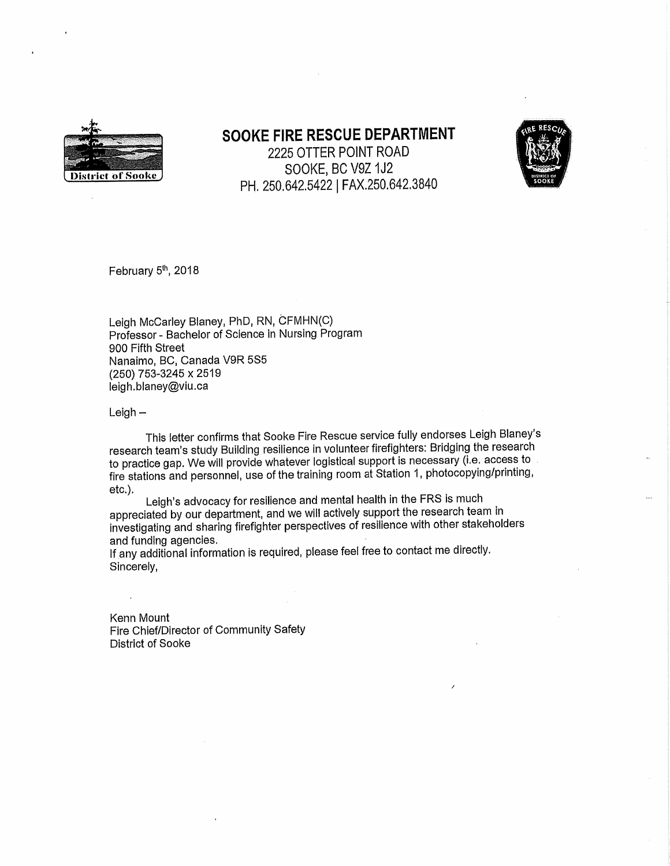

# SOOKE FIRE RESCUE DEPARTMENT

2225 OTTER POINT ROAD SOOKE, BC V9Z 1J2 PH. 250.642.5422 | FAX.250.642.3840



February 5th, 2018

Leigh McCarley Blaney, PhD, RN, CFMHN(C) Professor - Bachelor of Science in Nursing Program 900 Fifth Street Nanaimo, BC, Canada V9R 5S5 (250) 753-3245 x 2519 leigh.blaney@viu.ca

 $Leigh -$ 

 $\ddot{\phantom{a}}$ 

This letter confirms that Sooke Fire Rescue service fully endorses Leigh Blaney's research team's study Building resilience in volunteer firefighters: Bridging the research to practice gap. We will provide whatever logistical support is necessary (i.e. access to fire stations and personnel, use of the training room at Station 1, photocopying/printing, etc.).

Leigh's advocacy for resilience and mental health in the FRS is much appreciated by our department, and we will actively support the research team in investigating and sharing firefighter perspectives of resilience with other stakeholders and funding agencies.

If any additional information is required, please feel free to contact me directly. Sincerely,

Kenn Mount Fire Chief/Director of Community Safety District of Sooke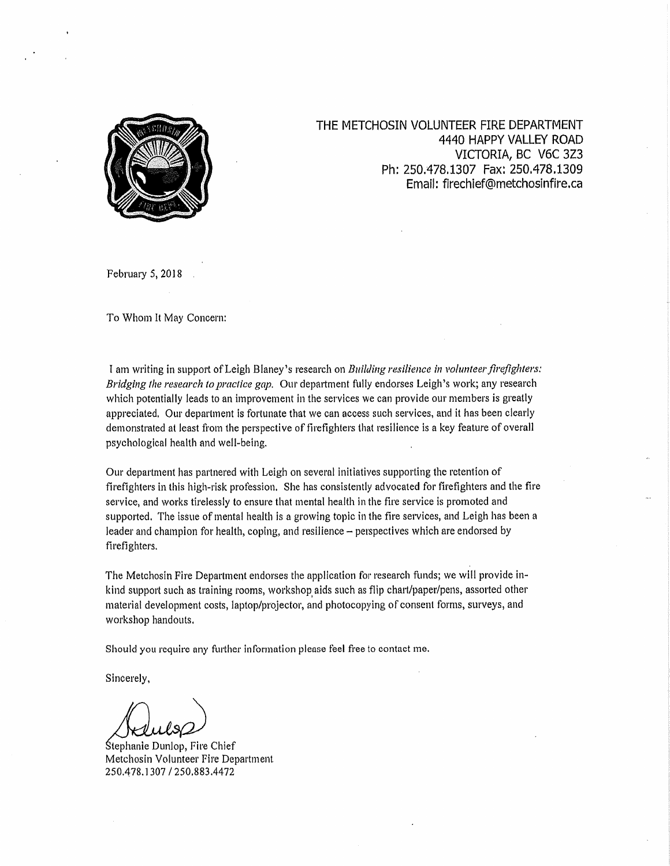

THE METCHOSIN VOLUNTEER FIRE DEPARTMENT 4440 HAPPY VALLEY ROAD VICTORIA, BC V6C 3Z3 Ph: 250.478.1307 Fax: 250.478.1309 Email: firechief@metchosinfire.ca

February 5, 2018

To Whom It May Concern:

I am writing in support of Leigh Blaney's research on Building resilience in volunteer firefighters: Bridging the research to practice gap. Our department fully endorses Leigh's work; any research which potentially leads to an improvement in the services we can provide our members is greatly appreciated. Our department is fortunate that we can access such services, and it has been clearly demonstrated at least from the perspective of firefighters that resilience is a key feature of overall psychological health and well-being.

Our department has partnered with Leigh on several initiatives supporting the retention of firefighters in this high-risk profession. She has consistently advocated for firefighters and the fire service, and works tirelessly to ensure that mental health in the fire service is promoted and supported. The issue of mental health is a growing topic in the fire services, and Leigh has been a leader and champion for health, coping, and resilience – perspectives which are endorsed by firefighters.

The Metchosin Fire Department endorses the application for research funds; we will provide inkind support such as training rooms, workshop aids such as flip chart/paper/pens, assorted other material development costs, laptop/projector, and photocopying of consent forms, surveys, and workshop handouts.

Should you require any further information please feel free to contact me.

Sincerely,

Stephanie Dunlop, Fire Chief Metchosin Volunteer Fire Department 250.478.1307 / 250.883.4472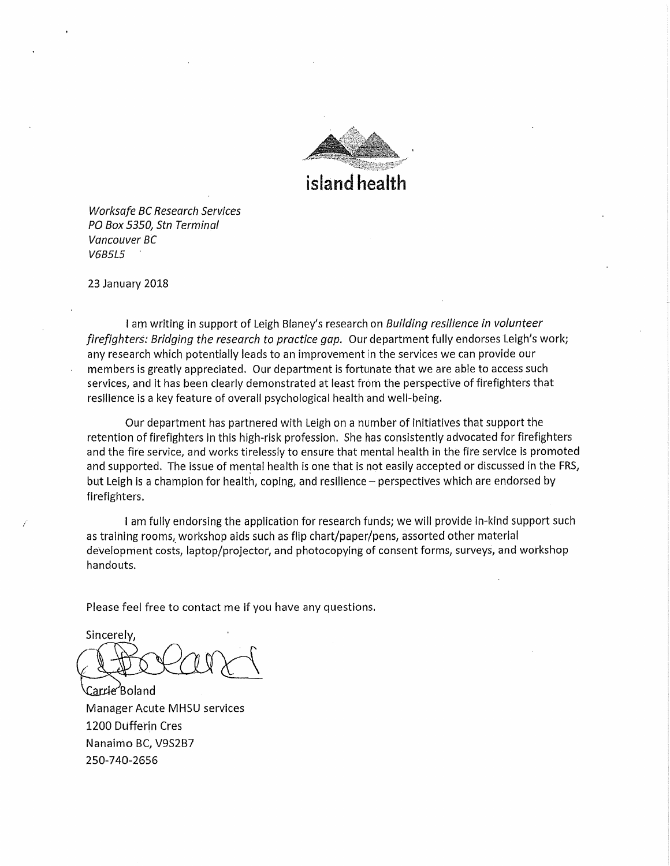

**Worksafe BC Research Services** PO Box 5350. Stn Terminal Vancouver BC **V6B5L5** 

23 January 2018

I am writing in support of Leigh Blaney's research on Building resilience in volunteer firefighters: Bridging the research to practice gap. Our department fully endorses Leigh's work; any research which potentially leads to an improvement in the services we can provide our members is greatly appreciated. Our department is fortunate that we are able to access such services, and it has been clearly demonstrated at least from the perspective of firefighters that resilience is a key feature of overall psychological health and well-being.

Our department has partnered with Leigh on a number of initiatives that support the retention of firefighters in this high-risk profession. She has consistently advocated for firefighters and the fire service, and works tirelessly to ensure that mental health in the fire service is promoted and supported. The issue of mental health is one that is not easily accepted or discussed in the FRS, but Leigh is a champion for health, coping, and resilience - perspectives which are endorsed by firefighters.

I am fully endorsing the application for research funds; we will provide in-kind support such as training rooms, workshop aids such as flip chart/paper/pens, assorted other material development costs, laptop/projector, and photocopying of consent forms, surveys, and workshop handouts.

Please feel free to contact me if you have any questions.

Sincerely,

Carrie Boland **Manager Acute MHSU services** 1200 Dufferin Cres Nanaimo BC, V9S2B7 250-740-2656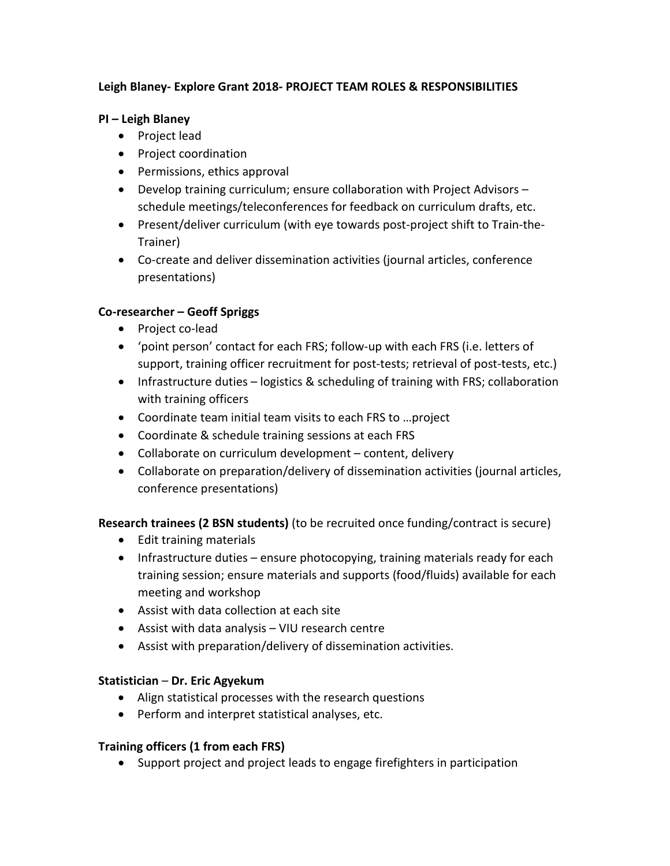## **Leigh Blaney- Explore Grant 2018- PROJECT TEAM ROLES & RESPONSIBILITIES**

## **PI – Leigh Blaney**

- Project lead
- Project coordination
- Permissions, ethics approval
- Develop training curriculum; ensure collaboration with Project Advisors schedule meetings/teleconferences for feedback on curriculum drafts, etc.
- Present/deliver curriculum (with eye towards post-project shift to Train-the-Trainer)
- Co-create and deliver dissemination activities (journal articles, conference presentations)

## **Co-researcher – Geoff Spriggs**

- Project co-lead
- 'point person' contact for each FRS; follow-up with each FRS (i.e. letters of support, training officer recruitment for post-tests; retrieval of post-tests, etc.)
- Infrastructure duties logistics & scheduling of training with FRS; collaboration with training officers
- Coordinate team initial team visits to each FRS to …project
- Coordinate & schedule training sessions at each FRS
- Collaborate on curriculum development content, delivery
- Collaborate on preparation/delivery of dissemination activities (journal articles, conference presentations)

## **Research trainees (2 BSN students)** (to be recruited once funding/contract is secure)

- Edit training materials
- Infrastructure duties ensure photocopying, training materials ready for each training session; ensure materials and supports (food/fluids) available for each meeting and workshop
- Assist with data collection at each site
- Assist with data analysis VIU research centre
- Assist with preparation/delivery of dissemination activities.

## **Statistician** – **Dr. Eric Agyekum**

- Align statistical processes with the research questions
- Perform and interpret statistical analyses, etc.

## **Training officers (1 from each FRS)**

• Support project and project leads to engage firefighters in participation